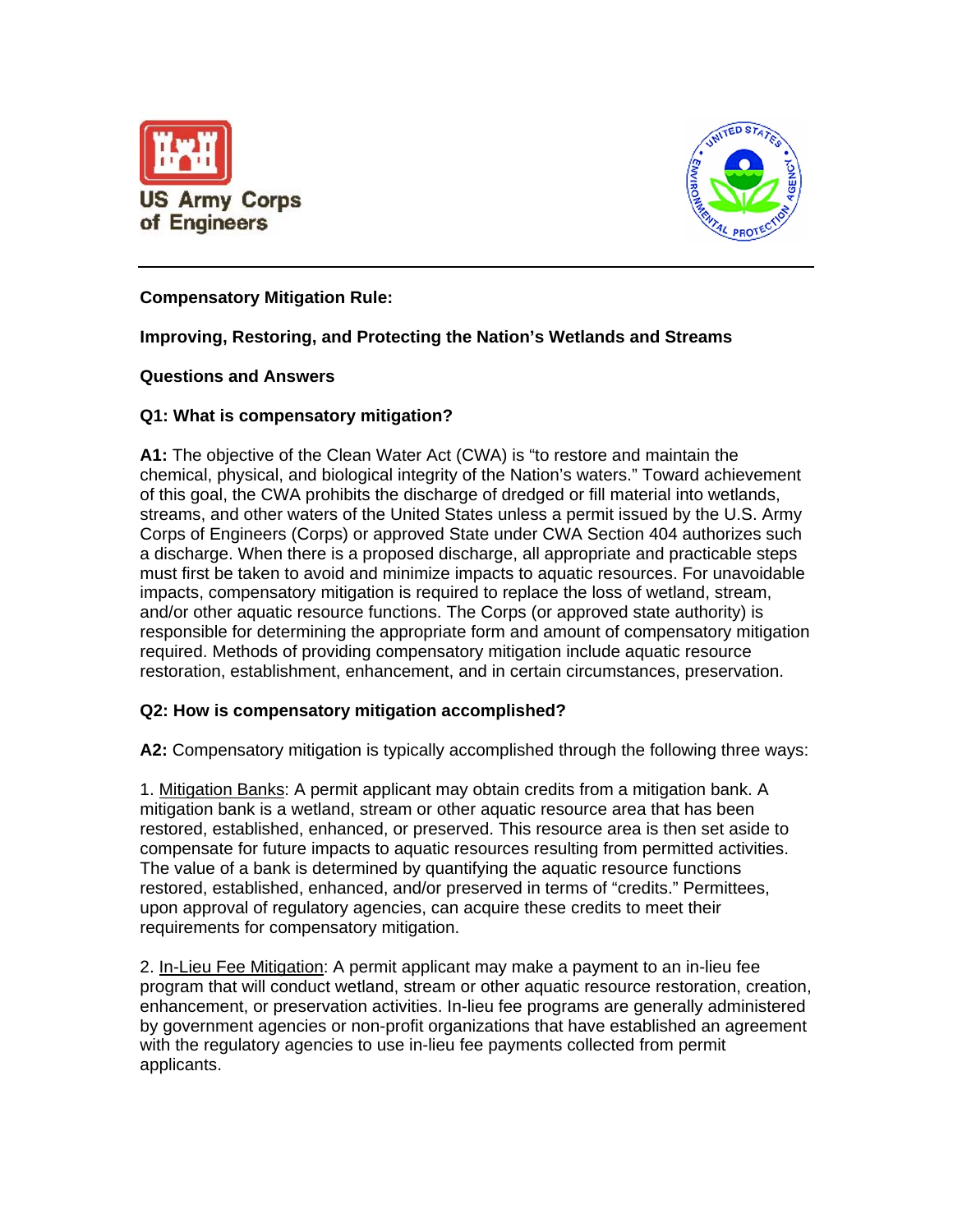



# **Compensatory Mitigation Rule:**

# **Improving, Restoring, and Protecting the Nation's Wetlands and Streams**

# **Questions and Answers**

# **Q1: What is compensatory mitigation?**

**A1:** The objective of the Clean Water Act (CWA) is "to restore and maintain the chemical, physical, and biological integrity of the Nation's waters." Toward achievement of this goal, the CWA prohibits the discharge of dredged or fill material into wetlands, streams, and other waters of the United States unless a permit issued by the U.S. Army Corps of Engineers (Corps) or approved State under CWA Section 404 authorizes such a discharge. When there is a proposed discharge, all appropriate and practicable steps must first be taken to avoid and minimize impacts to aquatic resources. For unavoidable impacts, compensatory mitigation is required to replace the loss of wetland, stream, and/or other aquatic resource functions. The Corps (or approved state authority) is responsible for determining the appropriate form and amount of compensatory mitigation required. Methods of providing compensatory mitigation include aquatic resource restoration, establishment, enhancement, and in certain circumstances, preservation.

# **Q2: How is compensatory mitigation accomplished?**

**A2:** Compensatory mitigation is typically accomplished through the following three ways:

1. Mitigation Banks: A permit applicant may obtain credits from a mitigation bank. A mitigation bank is a wetland, stream or other aquatic resource area that has been restored, established, enhanced, or preserved. This resource area is then set aside to compensate for future impacts to aquatic resources resulting from permitted activities. The value of a bank is determined by quantifying the aquatic resource functions restored, established, enhanced, and/or preserved in terms of "credits." Permittees, upon approval of regulatory agencies, can acquire these credits to meet their requirements for compensatory mitigation.

2. In-Lieu Fee Mitigation: A permit applicant may make a payment to an in-lieu fee program that will conduct wetland, stream or other aquatic resource restoration, creation, enhancement, or preservation activities. In-lieu fee programs are generally administered by government agencies or non-profit organizations that have established an agreement with the regulatory agencies to use in-lieu fee payments collected from permit applicants.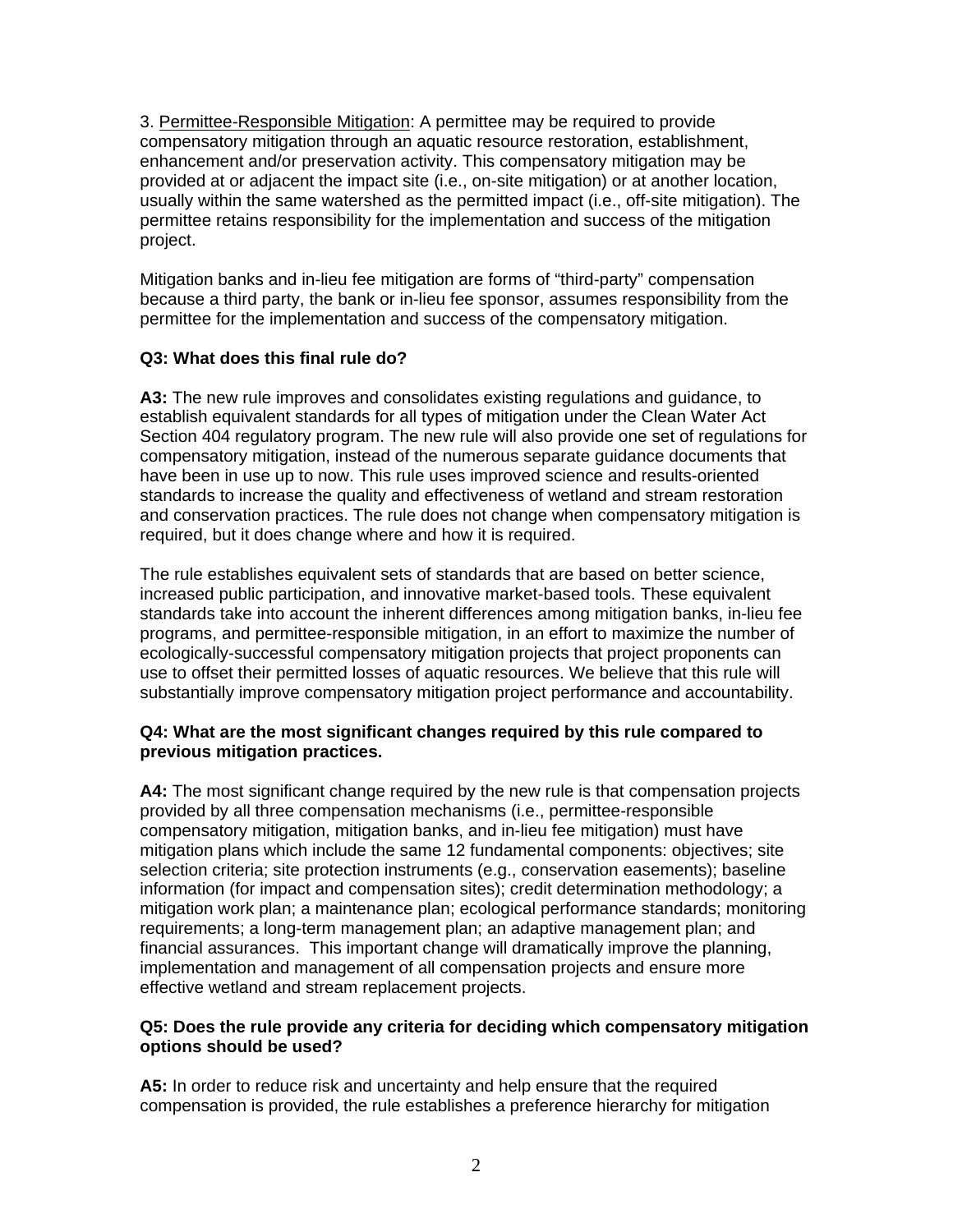3. Permittee-Responsible Mitigation: A permittee may be required to provide compensatory mitigation through an aquatic resource restoration, establishment, enhancement and/or preservation activity. This compensatory mitigation may be provided at or adjacent the impact site (i.e., on-site mitigation) or at another location, usually within the same watershed as the permitted impact (i.e., off-site mitigation). The permittee retains responsibility for the implementation and success of the mitigation project.

Mitigation banks and in-lieu fee mitigation are forms of "third-party" compensation because a third party, the bank or in-lieu fee sponsor, assumes responsibility from the permittee for the implementation and success of the compensatory mitigation.

# **Q3: What does this final rule do?**

**A3:** The new rule improves and consolidates existing regulations and guidance, to establish equivalent standards for all types of mitigation under the Clean Water Act Section 404 regulatory program. The new rule will also provide one set of regulations for compensatory mitigation, instead of the numerous separate guidance documents that have been in use up to now. This rule uses improved science and results-oriented standards to increase the quality and effectiveness of wetland and stream restoration and conservation practices. The rule does not change when compensatory mitigation is required, but it does change where and how it is required.

The rule establishes equivalent sets of standards that are based on better science, increased public participation, and innovative market-based tools. These equivalent standards take into account the inherent differences among mitigation banks, in-lieu fee programs, and permittee-responsible mitigation, in an effort to maximize the number of ecologically-successful compensatory mitigation projects that project proponents can use to offset their permitted losses of aquatic resources. We believe that this rule will substantially improve compensatory mitigation project performance and accountability.

# **Q4: What are the most significant changes required by this rule compared to previous mitigation practices.**

**A4:** The most significant change required by the new rule is that compensation projects provided by all three compensation mechanisms (i.e., permittee-responsible compensatory mitigation, mitigation banks, and in-lieu fee mitigation) must have mitigation plans which include the same 12 fundamental components: objectives; site selection criteria; site protection instruments (e.g., conservation easements); baseline information (for impact and compensation sites); credit determination methodology; a mitigation work plan; a maintenance plan; ecological performance standards; monitoring requirements; a long-term management plan; an adaptive management plan; and financial assurances. This important change will dramatically improve the planning, implementation and management of all compensation projects and ensure more effective wetland and stream replacement projects.

#### **Q5: Does the rule provide any criteria for deciding which compensatory mitigation options should be used?**

**A5:** In order to reduce risk and uncertainty and help ensure that the required compensation is provided, the rule establishes a preference hierarchy for mitigation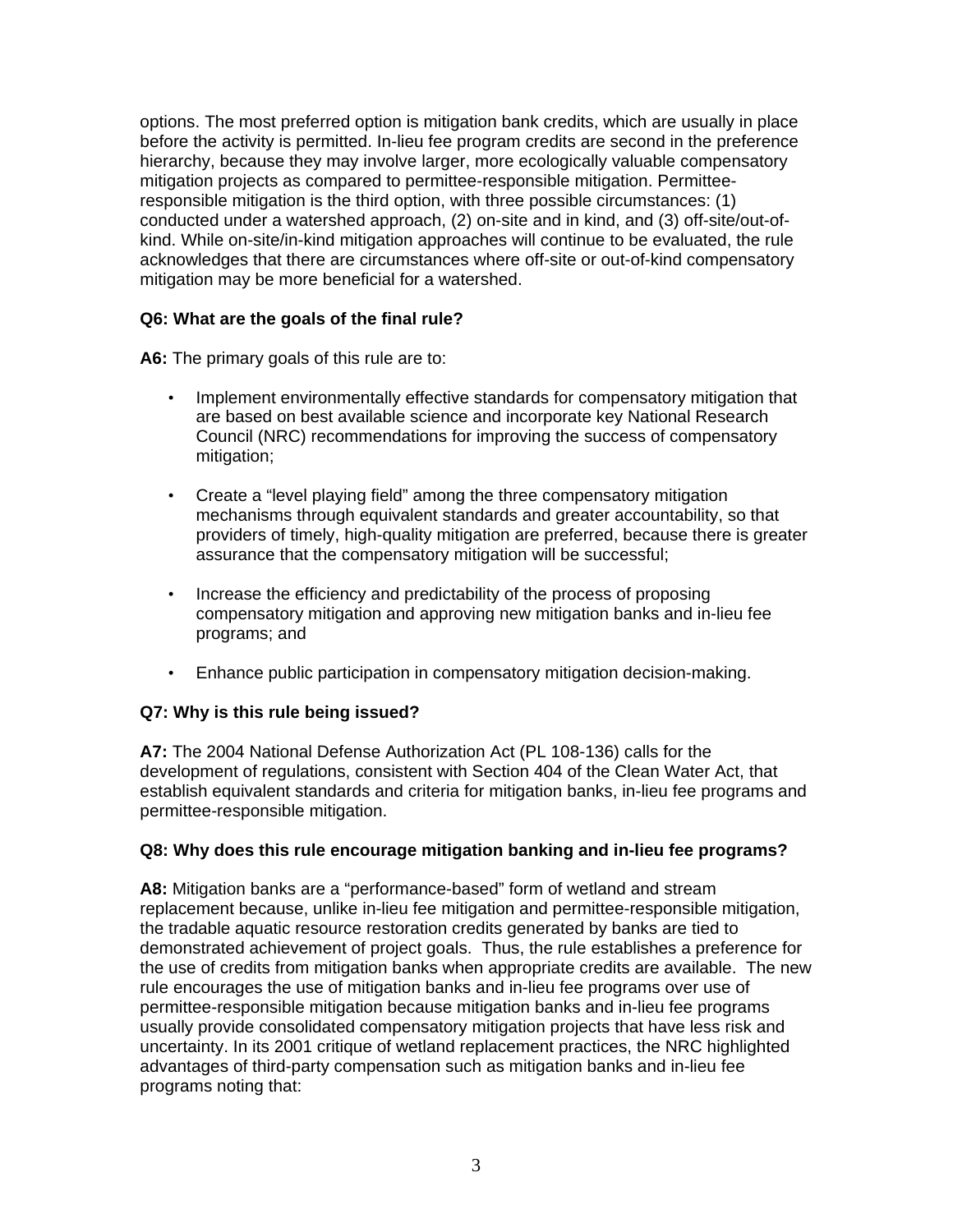options. The most preferred option is mitigation bank credits, which are usually in place before the activity is permitted. In-lieu fee program credits are second in the preference hierarchy, because they may involve larger, more ecologically valuable compensatory mitigation projects as compared to permittee-responsible mitigation. Permitteeresponsible mitigation is the third option, with three possible circumstances: (1) conducted under a watershed approach, (2) on-site and in kind, and (3) off-site/out-ofkind. While on-site/in-kind mitigation approaches will continue to be evaluated, the rule acknowledges that there are circumstances where off-site or out-of-kind compensatory mitigation may be more beneficial for a watershed.

# **Q6: What are the goals of the final rule?**

**A6:** The primary goals of this rule are to:

- Implement environmentally effective standards for compensatory mitigation that are based on best available science and incorporate key National Research Council (NRC) recommendations for improving the success of compensatory mitigation;
- Create a "level playing field" among the three compensatory mitigation mechanisms through equivalent standards and greater accountability, so that providers of timely, high-quality mitigation are preferred, because there is greater assurance that the compensatory mitigation will be successful;
- Increase the efficiency and predictability of the process of proposing compensatory mitigation and approving new mitigation banks and in-lieu fee programs; and
- Enhance public participation in compensatory mitigation decision-making.

# **Q7: Why is this rule being issued?**

**A7:** The 2004 National Defense Authorization Act (PL 108-136) calls for the development of regulations, consistent with Section 404 of the Clean Water Act, that establish equivalent standards and criteria for mitigation banks, in-lieu fee programs and permittee-responsible mitigation.

# **Q8: Why does this rule encourage mitigation banking and in-lieu fee programs?**

**A8:** Mitigation banks are a "performance-based" form of wetland and stream replacement because, unlike in-lieu fee mitigation and permittee-responsible mitigation, the tradable aquatic resource restoration credits generated by banks are tied to demonstrated achievement of project goals. Thus, the rule establishes a preference for the use of credits from mitigation banks when appropriate credits are available. The new rule encourages the use of mitigation banks and in-lieu fee programs over use of permittee-responsible mitigation because mitigation banks and in-lieu fee programs usually provide consolidated compensatory mitigation projects that have less risk and uncertainty. In its 2001 critique of wetland replacement practices, the NRC highlighted advantages of third-party compensation such as mitigation banks and in-lieu fee programs noting that: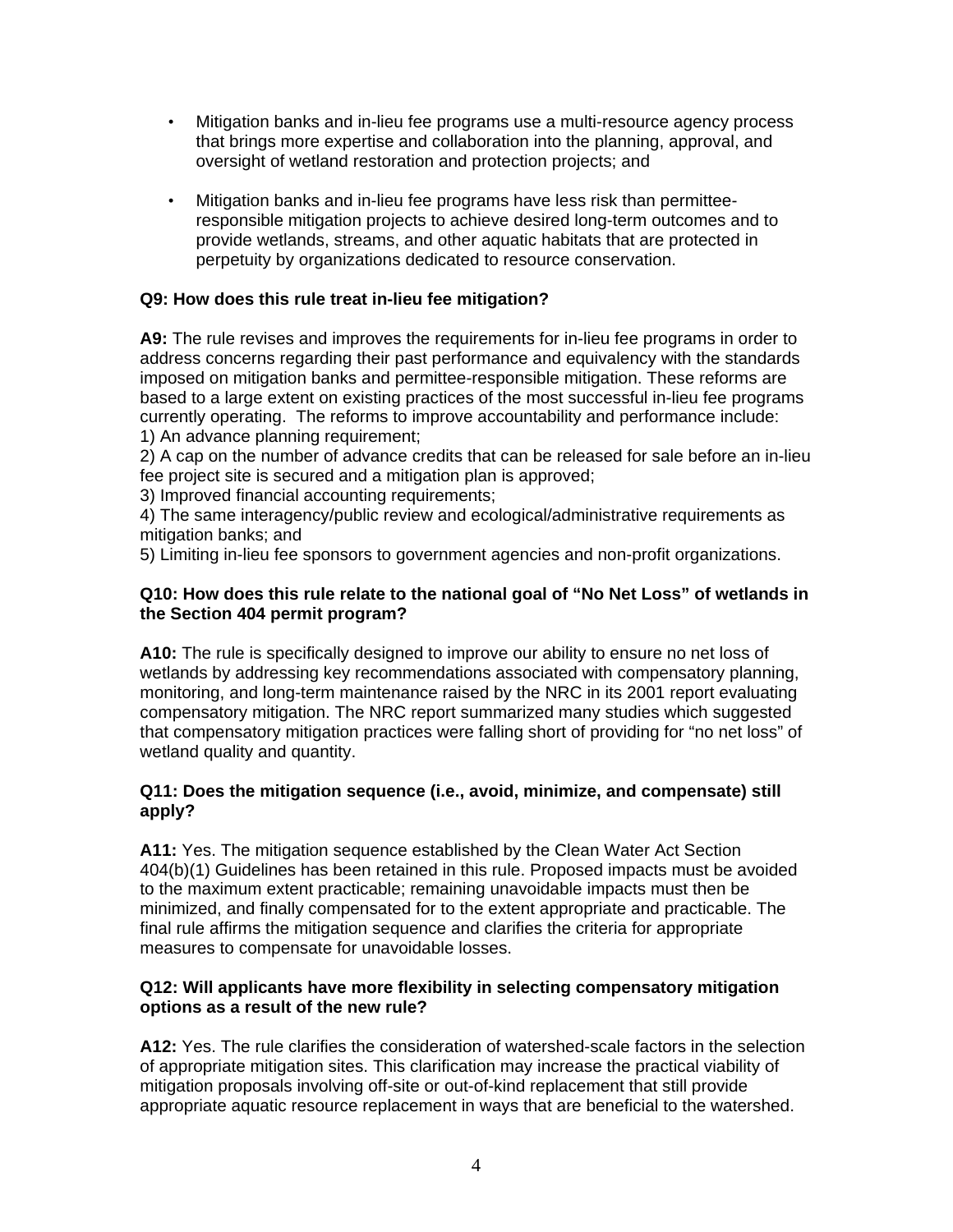- Mitigation banks and in-lieu fee programs use a multi-resource agency process that brings more expertise and collaboration into the planning, approval, and oversight of wetland restoration and protection projects; and
- Mitigation banks and in-lieu fee programs have less risk than permitteeresponsible mitigation projects to achieve desired long-term outcomes and to provide wetlands, streams, and other aquatic habitats that are protected in perpetuity by organizations dedicated to resource conservation.

# **Q9: How does this rule treat in-lieu fee mitigation?**

**A9:** The rule revises and improves the requirements for in-lieu fee programs in order to address concerns regarding their past performance and equivalency with the standards imposed on mitigation banks and permittee-responsible mitigation. These reforms are based to a large extent on existing practices of the most successful in-lieu fee programs currently operating. The reforms to improve accountability and performance include: 1) An advance planning requirement;

2) A cap on the number of advance credits that can be released for sale before an in-lieu fee project site is secured and a mitigation plan is approved;

3) Improved financial accounting requirements;

4) The same interagency/public review and ecological/administrative requirements as mitigation banks; and

5) Limiting in-lieu fee sponsors to government agencies and non-profit organizations.

# **Q10: How does this rule relate to the national goal of "No Net Loss" of wetlands in the Section 404 permit program?**

**A10:** The rule is specifically designed to improve our ability to ensure no net loss of wetlands by addressing key recommendations associated with compensatory planning, monitoring, and long-term maintenance raised by the NRC in its 2001 report evaluating compensatory mitigation. The NRC report summarized many studies which suggested that compensatory mitigation practices were falling short of providing for "no net loss" of wetland quality and quantity.

# **Q11: Does the mitigation sequence (i.e., avoid, minimize, and compensate) still apply?**

**A11:** Yes. The mitigation sequence established by the Clean Water Act Section 404(b)(1) Guidelines has been retained in this rule. Proposed impacts must be avoided to the maximum extent practicable; remaining unavoidable impacts must then be minimized, and finally compensated for to the extent appropriate and practicable. The final rule affirms the mitigation sequence and clarifies the criteria for appropriate measures to compensate for unavoidable losses.

# **Q12: Will applicants have more flexibility in selecting compensatory mitigation options as a result of the new rule?**

**A12:** Yes. The rule clarifies the consideration of watershed-scale factors in the selection of appropriate mitigation sites. This clarification may increase the practical viability of mitigation proposals involving off-site or out-of-kind replacement that still provide appropriate aquatic resource replacement in ways that are beneficial to the watershed.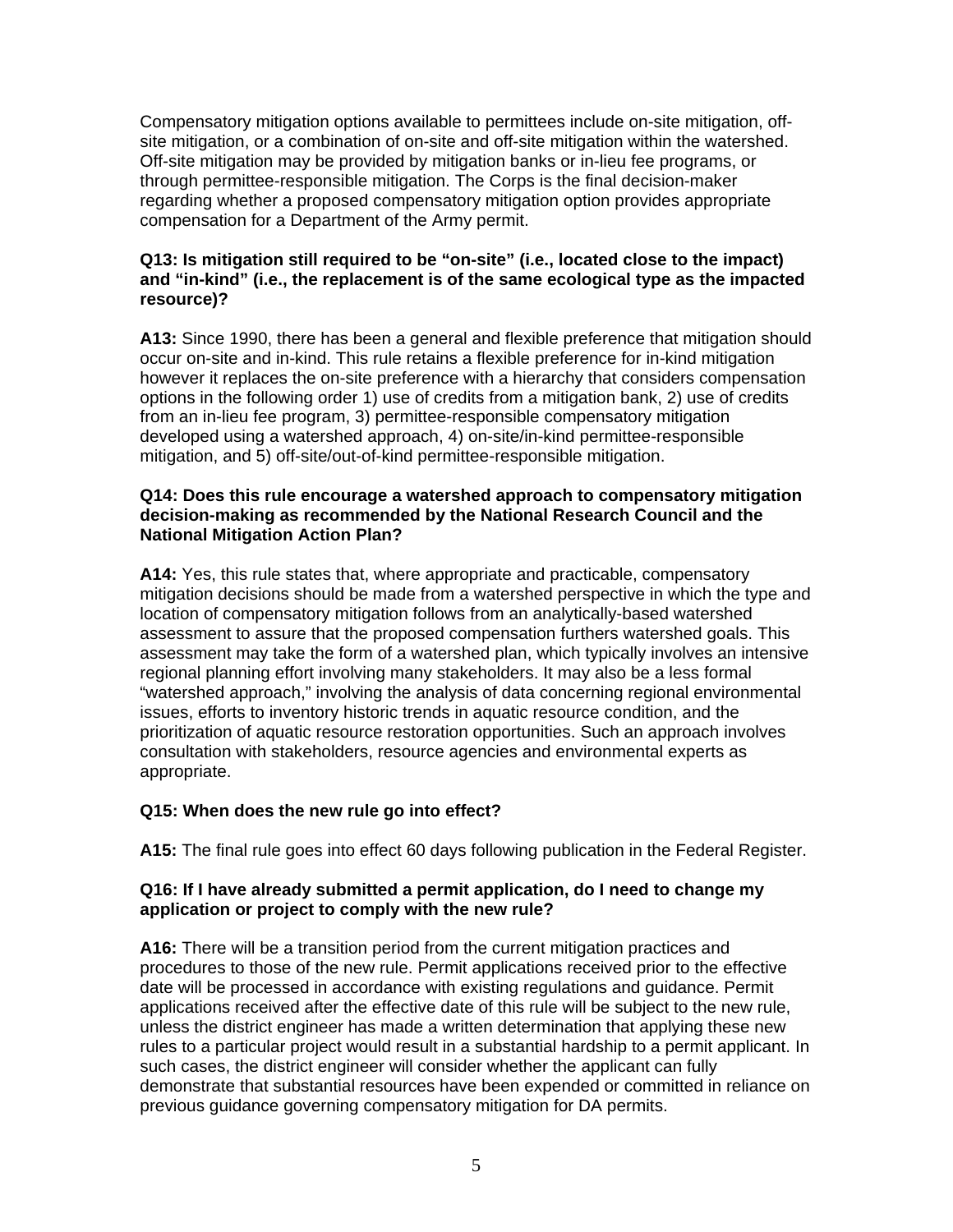Compensatory mitigation options available to permittees include on-site mitigation, offsite mitigation, or a combination of on-site and off-site mitigation within the watershed. Off-site mitigation may be provided by mitigation banks or in-lieu fee programs, or through permittee-responsible mitigation. The Corps is the final decision-maker regarding whether a proposed compensatory mitigation option provides appropriate compensation for a Department of the Army permit.

### **Q13: Is mitigation still required to be "on-site" (i.e., located close to the impact) and "in-kind" (i.e., the replacement is of the same ecological type as the impacted resource)?**

**A13:** Since 1990, there has been a general and flexible preference that mitigation should occur on-site and in-kind. This rule retains a flexible preference for in-kind mitigation however it replaces the on-site preference with a hierarchy that considers compensation options in the following order 1) use of credits from a mitigation bank, 2) use of credits from an in-lieu fee program, 3) permittee-responsible compensatory mitigation developed using a watershed approach, 4) on-site/in-kind permittee-responsible mitigation, and 5) off-site/out-of-kind permittee-responsible mitigation.

### **Q14: Does this rule encourage a watershed approach to compensatory mitigation decision-making as recommended by the National Research Council and the National Mitigation Action Plan?**

**A14:** Yes, this rule states that, where appropriate and practicable, compensatory mitigation decisions should be made from a watershed perspective in which the type and location of compensatory mitigation follows from an analytically-based watershed assessment to assure that the proposed compensation furthers watershed goals. This assessment may take the form of a watershed plan, which typically involves an intensive regional planning effort involving many stakeholders. It may also be a less formal "watershed approach," involving the analysis of data concerning regional environmental issues, efforts to inventory historic trends in aquatic resource condition, and the prioritization of aquatic resource restoration opportunities. Such an approach involves consultation with stakeholders, resource agencies and environmental experts as appropriate.

# **Q15: When does the new rule go into effect?**

**A15:** The final rule goes into effect 60 days following publication in the Federal Register.

# **Q16: If I have already submitted a permit application, do I need to change my application or project to comply with the new rule?**

**A16:** There will be a transition period from the current mitigation practices and procedures to those of the new rule. Permit applications received prior to the effective date will be processed in accordance with existing regulations and guidance. Permit applications received after the effective date of this rule will be subject to the new rule, unless the district engineer has made a written determination that applying these new rules to a particular project would result in a substantial hardship to a permit applicant. In such cases, the district engineer will consider whether the applicant can fully demonstrate that substantial resources have been expended or committed in reliance on previous guidance governing compensatory mitigation for DA permits.